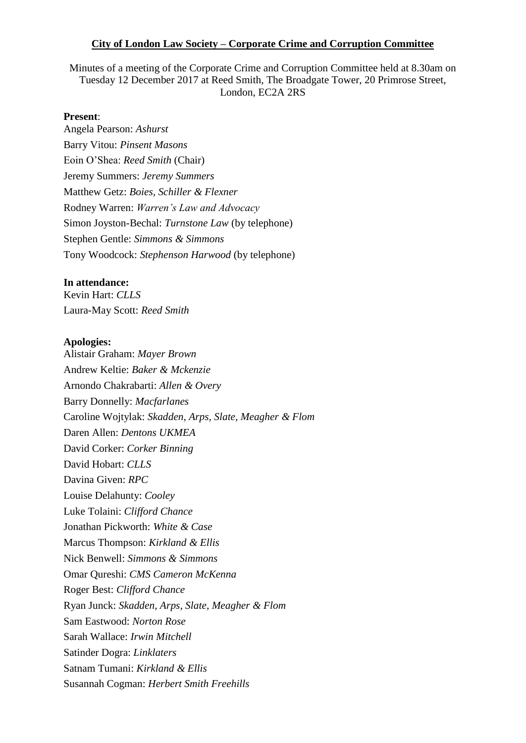### **City of London Law Society – Corporate Crime and Corruption Committee**

Minutes of a meeting of the Corporate Crime and Corruption Committee held at 8.30am on Tuesday 12 December 2017 at Reed Smith, The Broadgate Tower, 20 Primrose Street, London, EC2A 2RS

### **Present**:

Angela Pearson: *Ashurst* Barry Vitou: *Pinsent Masons* Eoin O'Shea: *Reed Smith* (Chair) Jeremy Summers: *Jeremy Summers* Matthew Getz: *Boies, Schiller & Flexner* Rodney Warren: *Warren's Law and Advocacy*  Simon Joyston-Bechal: *Turnstone Law* (by telephone) Stephen Gentle: *Simmons & Simmons*  Tony Woodcock: *Stephenson Harwood* (by telephone)

#### **In attendance:**

Kevin Hart: *CLLS* Laura-May Scott: *Reed Smith*

#### **Apologies:**

Alistair Graham: *Mayer Brown* Andrew Keltie: *Baker & Mckenzie* Arnondo Chakrabarti: *Allen & Overy* Barry Donnelly: *Macfarlanes* Caroline Wojtylak: *Skadden, Arps, Slate, Meagher & Flom* Daren Allen: *Dentons UKMEA*  David Corker: *Corker Binning* David Hobart: *CLLS* Davina Given: *RPC* Louise Delahunty: *Cooley* Luke Tolaini: *Clifford Chance* Jonathan Pickworth: *White & Case* Marcus Thompson: *Kirkland & Ellis*  Nick Benwell: *Simmons & Simmons* Omar Qureshi: *CMS Cameron McKenna* Roger Best: *Clifford Chance*  Ryan Junck: *Skadden, Arps, Slate, Meagher & Flom* Sam Eastwood: *Norton Rose* Sarah Wallace: *Irwin Mitchell* Satinder Dogra: *Linklaters* Satnam Tumani: *Kirkland & Ellis* Susannah Cogman: *Herbert Smith Freehills*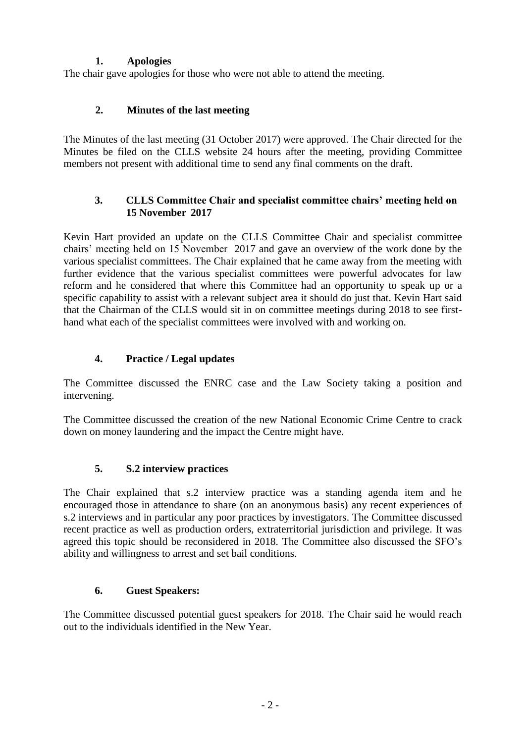## **1. Apologies**

The chair gave apologies for those who were not able to attend the meeting.

## **2. Minutes of the last meeting**

The Minutes of the last meeting (31 October 2017) were approved. The Chair directed for the Minutes be filed on the CLLS website 24 hours after the meeting, providing Committee members not present with additional time to send any final comments on the draft.

## **3. CLLS Committee Chair and specialist committee chairs' meeting held on 15 November 2017**

Kevin Hart provided an update on the CLLS Committee Chair and specialist committee chairs' meeting held on 15 November 2017 and gave an overview of the work done by the various specialist committees. The Chair explained that he came away from the meeting with further evidence that the various specialist committees were powerful advocates for law reform and he considered that where this Committee had an opportunity to speak up or a specific capability to assist with a relevant subject area it should do just that. Kevin Hart said that the Chairman of the CLLS would sit in on committee meetings during 2018 to see firsthand what each of the specialist committees were involved with and working on.

# **4. Practice / Legal updates**

The Committee discussed the ENRC case and the Law Society taking a position and intervening.

The Committee discussed the creation of the new National Economic Crime Centre to crack down on money laundering and the impact the Centre might have.

## **5. S.2 interview practices**

The Chair explained that s.2 interview practice was a standing agenda item and he encouraged those in attendance to share (on an anonymous basis) any recent experiences of s.2 interviews and in particular any poor practices by investigators. The Committee discussed recent practice as well as production orders, extraterritorial jurisdiction and privilege. It was agreed this topic should be reconsidered in 2018. The Committee also discussed the SFO's ability and willingness to arrest and set bail conditions.

## **6. Guest Speakers:**

The Committee discussed potential guest speakers for 2018. The Chair said he would reach out to the individuals identified in the New Year.